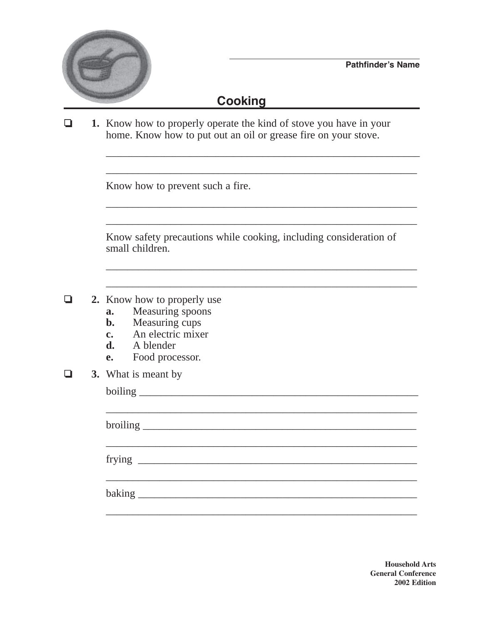

## **Cooking**

❏ **1.** Know how to properly operate the kind of stove you have in your home. Know how to put out an oil or grease fire on your stove.

Know how to prevent such a fire.

Know safety precautions while cooking, including consideration of small children.

\_\_\_\_\_\_\_\_\_\_\_\_\_\_\_\_\_\_\_\_\_\_\_\_\_\_\_\_\_\_\_\_\_\_\_\_\_\_\_\_\_\_\_\_\_\_\_\_\_\_\_\_\_\_\_\_\_\_

\_\_\_\_\_\_\_\_\_\_\_\_\_\_\_\_\_\_\_\_\_\_\_\_\_\_\_\_\_\_\_\_\_\_\_\_\_\_\_\_\_\_\_\_\_\_\_\_\_\_\_\_\_\_\_\_\_\_

\_\_\_\_\_\_\_\_\_\_\_\_\_\_\_\_\_\_\_\_\_\_\_\_\_\_\_\_\_\_\_\_\_\_\_\_\_\_\_\_\_\_\_\_\_\_\_\_\_\_\_\_\_\_\_\_\_\_

\_\_\_\_\_\_\_\_\_\_\_\_\_\_\_\_\_\_\_\_\_\_\_\_\_\_\_\_\_\_\_\_\_\_\_\_\_\_\_\_\_\_\_\_\_\_\_\_\_\_\_\_\_\_\_\_\_\_

\_\_\_\_\_\_\_\_\_\_\_\_\_\_\_\_\_\_\_\_\_\_\_\_\_\_\_\_\_\_\_\_\_\_\_\_\_\_\_\_\_\_\_\_\_\_\_\_\_\_\_\_\_\_\_\_\_\_

\_\_\_\_\_\_\_\_\_\_\_\_\_\_\_\_\_\_\_\_\_\_\_\_\_\_\_\_\_\_\_\_\_\_\_\_\_\_\_\_\_\_\_\_\_\_\_\_\_\_\_\_\_\_\_\_\_\_

- ❏ **2.** Know how to properly use
	- **a.** Measuring spoons
	- **b.** Measuring cups
	- **c.** An electric mixer
	- **d.** A blender
	- **e.** Food processor.
- ❏ **3.** What is meant by

| What is meant by |
|------------------|
|                  |
|                  |
|                  |
|                  |
|                  |
|                  |
|                  |
|                  |
|                  |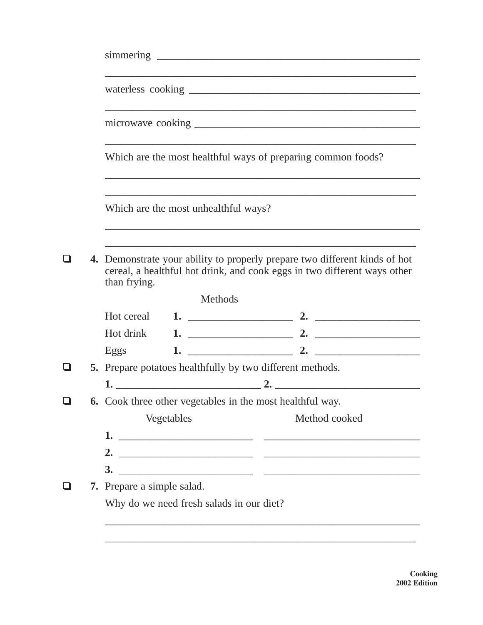|        | Which are the most healthful ways of preparing common foods?                                                                                                           |               |
|--------|------------------------------------------------------------------------------------------------------------------------------------------------------------------------|---------------|
|        | Which are the most unhealthful ways?                                                                                                                                   |               |
|        | 4. Demonstrate your ability to properly prepare two different kinds of hot<br>cereal, a healthful hot drink, and cook eggs in two different ways other<br>than frying. |               |
|        | Methods                                                                                                                                                                |               |
|        | Hot cereal                                                                                                                                                             |               |
|        | Hot drink                                                                                                                                                              |               |
|        | Eggs                                                                                                                                                                   |               |
| $\Box$ | 5. Prepare potatoes healthfully by two different methods.                                                                                                              |               |
|        |                                                                                                                                                                        |               |
| Q.     | 6. Cook three other vegetables in the most healthful way.                                                                                                              |               |
|        | Vegetables                                                                                                                                                             | Method cooked |
|        |                                                                                                                                                                        |               |
|        |                                                                                                                                                                        |               |
|        |                                                                                                                                                                        |               |
|        | <b>7.</b> Prepare a simple salad.                                                                                                                                      |               |
|        | Why do we need fresh salads in our diet?                                                                                                                               |               |
|        |                                                                                                                                                                        |               |
|        |                                                                                                                                                                        |               |

**Cooking 2002 Edition**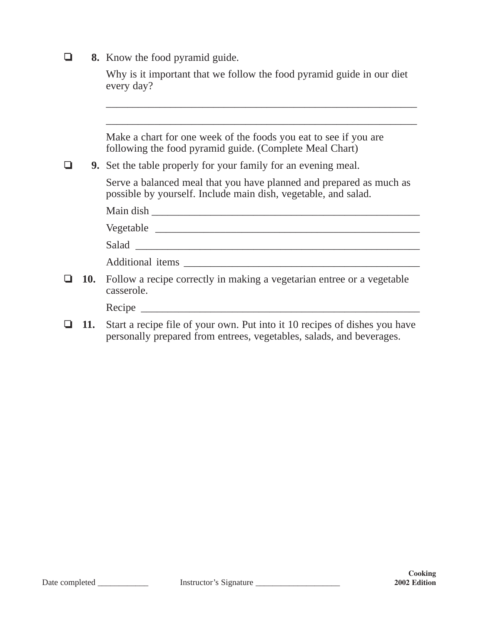❏ **8.** Know the food pyramid guide.

| Why is it important that we follow the food pyramid guide in our diet |
|-----------------------------------------------------------------------|
| every day?                                                            |

\_\_\_\_\_\_\_\_\_\_\_\_\_\_\_\_\_\_\_\_\_\_\_\_\_\_\_\_\_\_\_\_\_\_\_\_\_\_\_\_\_\_\_\_\_\_\_\_\_\_\_\_\_\_\_\_\_\_

\_\_\_\_\_\_\_\_\_\_\_\_\_\_\_\_\_\_\_\_\_\_\_\_\_\_\_\_\_\_\_\_\_\_\_\_\_\_\_\_\_\_\_\_\_\_\_\_\_\_\_\_\_\_\_\_\_\_

Make a chart for one week of the foods you eat to see if you are following the food pyramid guide. (Complete Meal Chart)

❏ **9.** Set the table properly for your family for an evening meal.

Serve a balanced meal that you have planned and prepared as much as possible by yourself. Include main dish, vegetable, and salad.

|  | Main dish                                                                                       |
|--|-------------------------------------------------------------------------------------------------|
|  |                                                                                                 |
|  |                                                                                                 |
|  | Additional items                                                                                |
|  | <b>10.</b> Follow a recipe correctly in making a vegetarian entree or a vegetable<br>casserole. |
|  | Recipe                                                                                          |

❏ **11.** Start a recipe file of your own. Put into it 10 recipes of dishes you have personally prepared from entrees, vegetables, salads, and beverages.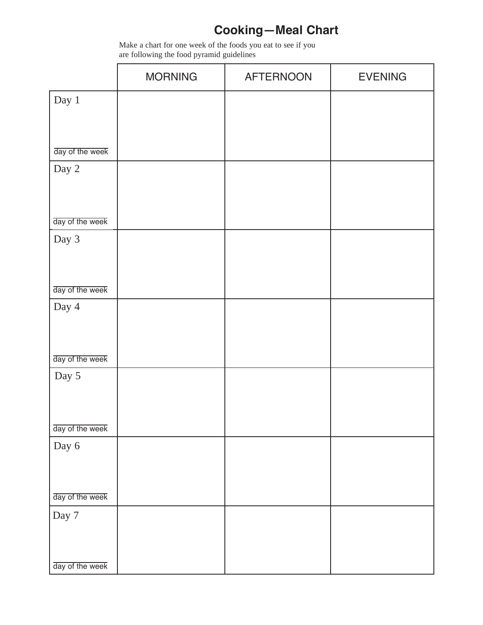## **Cooking—Meal Chart**

Make a chart for one week of the foods you eat to see if you are following the food pyramid guidelines

|                 | <b>MORNING</b> | <b>AFTERNOON</b> | <b>EVENING</b> |
|-----------------|----------------|------------------|----------------|
| Day 1           |                |                  |                |
|                 |                |                  |                |
|                 |                |                  |                |
| day of the week |                |                  |                |
| Day 2           |                |                  |                |
|                 |                |                  |                |
| day of the week |                |                  |                |
| Day 3           |                |                  |                |
|                 |                |                  |                |
|                 |                |                  |                |
| day of the week |                |                  |                |
| Day 4           |                |                  |                |
|                 |                |                  |                |
| day of the week |                |                  |                |
| Day 5           |                |                  |                |
|                 |                |                  |                |
|                 |                |                  |                |
| day of the week |                |                  |                |
| Day 6           |                |                  |                |
|                 |                |                  |                |
|                 |                |                  |                |
| day of the week |                |                  |                |
| Day $7\,$       |                |                  |                |
|                 |                |                  |                |
| day of the week |                |                  |                |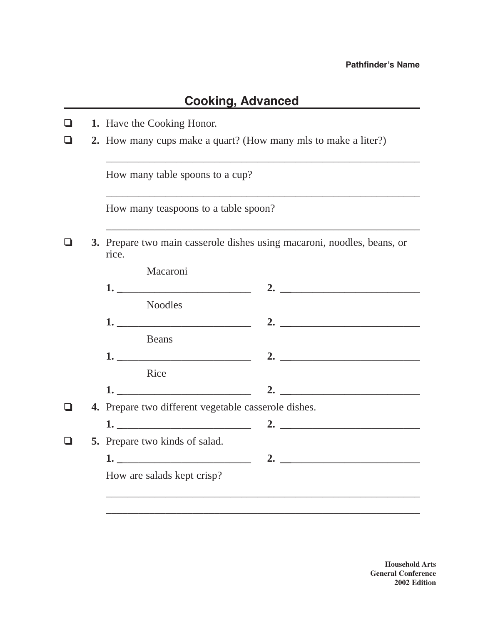## **Cooking, Advanced**

| l I | 1. Have the Cooking Honor.                                                       |
|-----|----------------------------------------------------------------------------------|
|     | 2. How many cups make a quart? (How many mls to make a liter?)                   |
|     | How many table spoons to a cup?                                                  |
|     | How many teaspoons to a table spoon?                                             |
|     | 3. Prepare two main casserole dishes using macaroni, noodles, beans, or<br>rice. |
|     | Macaroni                                                                         |
|     |                                                                                  |
|     | <b>Noodles</b>                                                                   |
|     |                                                                                  |
|     | Beans                                                                            |
|     |                                                                                  |
|     | Rice                                                                             |
|     | <u>1. __________________________</u><br>2. $\qquad \qquad$                       |
|     | 4. Prepare two different vegetable casserole dishes.                             |
|     | 2. $\qquad \qquad$                                                               |
|     | 5. Prepare two kinds of salad.                                                   |
|     |                                                                                  |
|     | How are salads kept crisp?                                                       |
|     |                                                                                  |
|     |                                                                                  |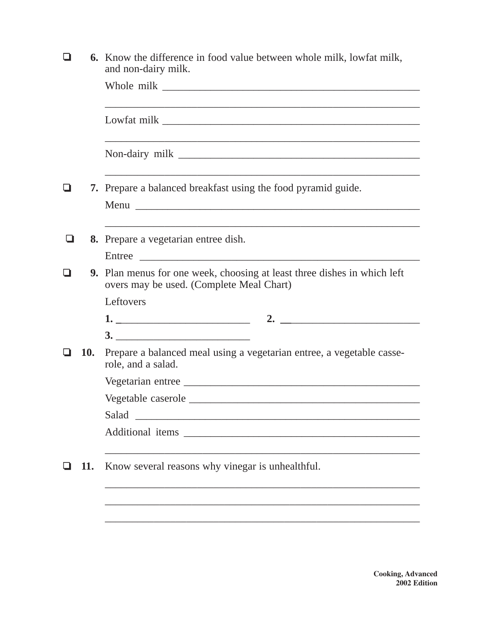|   |     | <b>6.</b> Know the difference in food value between whole milk, lowfat milk,<br>and non-dairy milk.                                                                                                                                                                                                                    |
|---|-----|------------------------------------------------------------------------------------------------------------------------------------------------------------------------------------------------------------------------------------------------------------------------------------------------------------------------|
|   |     |                                                                                                                                                                                                                                                                                                                        |
|   |     |                                                                                                                                                                                                                                                                                                                        |
|   |     |                                                                                                                                                                                                                                                                                                                        |
|   |     | 7. Prepare a balanced breakfast using the food pyramid guide.                                                                                                                                                                                                                                                          |
| ப |     | ,我们也不能在这里的时候,我们也不能会在这里,我们也不能会在这里的时候,我们也不能会在这里的时候,我们也不能会在这里的时候,我们也不能会在这里的时候,我们也不能<br>8. Prepare a vegetarian entree dish.<br>Entree                                                                                                                                                                                     |
|   |     | <b>9.</b> Plan menus for one week, choosing at least three dishes in which left<br>overs may be used. (Complete Meal Chart)                                                                                                                                                                                            |
|   |     | Leftovers                                                                                                                                                                                                                                                                                                              |
|   |     | 2. $\frac{1}{2}$ $\frac{1}{2}$ $\frac{1}{2}$ $\frac{1}{2}$ $\frac{1}{2}$ $\frac{1}{2}$ $\frac{1}{2}$ $\frac{1}{2}$ $\frac{1}{2}$ $\frac{1}{2}$ $\frac{1}{2}$ $\frac{1}{2}$ $\frac{1}{2}$ $\frac{1}{2}$ $\frac{1}{2}$ $\frac{1}{2}$ $\frac{1}{2}$ $\frac{1}{2}$ $\frac{1}{2}$ $\frac{1}{2}$ $\frac{1}{2}$ $\frac{1}{2}$ |
|   |     |                                                                                                                                                                                                                                                                                                                        |
|   | 10. | Prepare a balanced meal using a vegetarian entree, a vegetable casse-<br>role, and a salad.                                                                                                                                                                                                                            |
|   |     |                                                                                                                                                                                                                                                                                                                        |
|   |     |                                                                                                                                                                                                                                                                                                                        |
|   |     | Salad<br><u> 1980 - Jan James James Jan James James James James James James James James James James James James James James</u>                                                                                                                                                                                        |
|   |     | Additional items and the state of the state of the state of the state of the state of the state of the state of the state of the state of the state of the state of the state of the state of the state of the state of the st                                                                                         |
|   | 11. | Know several reasons why vinegar is unhealthful.                                                                                                                                                                                                                                                                       |
|   |     |                                                                                                                                                                                                                                                                                                                        |
|   |     |                                                                                                                                                                                                                                                                                                                        |
|   |     |                                                                                                                                                                                                                                                                                                                        |